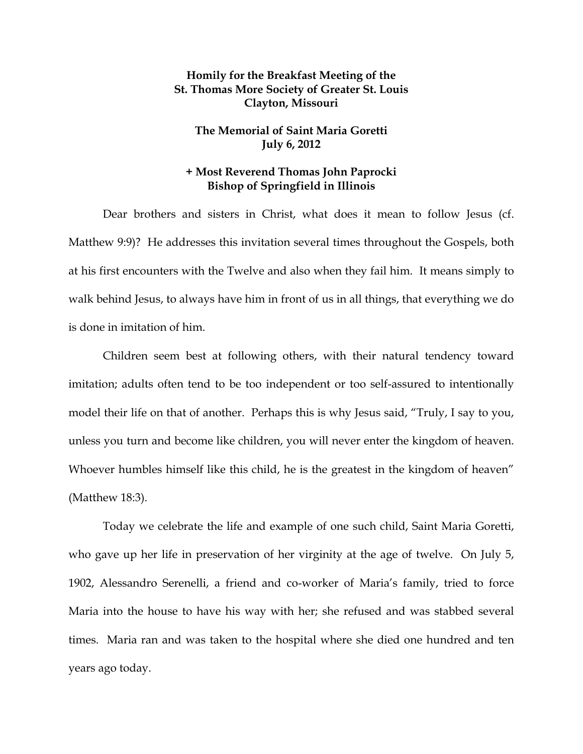## **Homily for the Breakfast Meeting of the St. Thomas More Society of Greater St. Louis Clayton, Missouri**

## **The Memorial of Saint Maria Goretti July 6, 2012**

## **+ Most Reverend Thomas John Paprocki Bishop of Springfield in Illinois**

Dear brothers and sisters in Christ, what does it mean to follow Jesus (cf. Matthew 9:9)? He addresses this invitation several times throughout the Gospels, both at his first encounters with the Twelve and also when they fail him. It means simply to walk behind Jesus, to always have him in front of us in all things, that everything we do is done in imitation of him.

Children seem best at following others, with their natural tendency toward imitation; adults often tend to be too independent or too self-assured to intentionally model their life on that of another. Perhaps this is why Jesus said, "Truly, I say to you, unless you turn and become like children, you will never enter the kingdom of heaven. Whoever humbles himself like this child, he is the greatest in the kingdom of heaven" (Matthew 18:3).

Today we celebrate the life and example of one such child, Saint Maria Goretti, who gave up her life in preservation of her virginity at the age of twelve. On July 5, 1902, Alessandro Serenelli, a friend and co-worker of Maria's family, tried to force Maria into the house to have his way with her; she refused and was stabbed several times. Maria ran and was taken to the hospital where she died one hundred and ten years ago today.